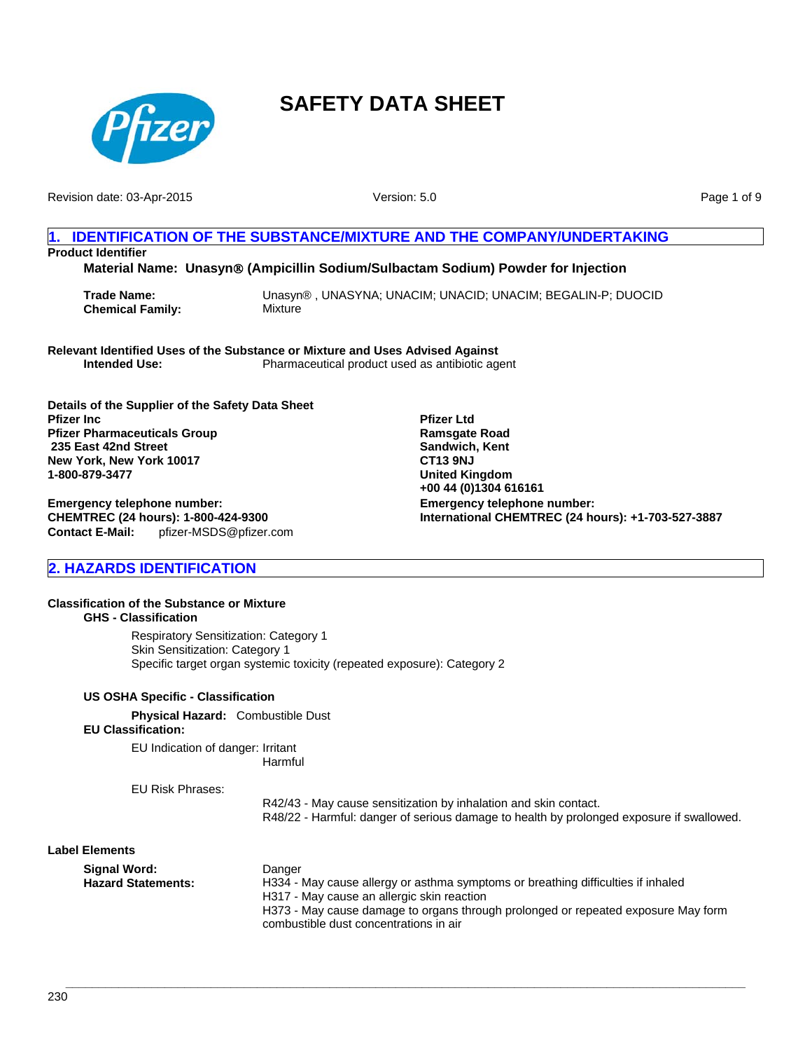

Revision date: 03-Apr-2015

Version: 5.0

Page 1 of 9

#### **1. IDENTIFICATION OF THE SUBSTANCE/MIXTURE AND THE COMPANY/UNDERTAKING Product Identifier**

**Material Name: Unasyn**® **(Ampicillin Sodium/Sulbactam Sodium) Powder for Injection**

| Trade Name:             | Unasyn®, UNASYNA; UNACIM; UNACID; UNACIM; BEGALIN-P; DUOCID |
|-------------------------|-------------------------------------------------------------|
| <b>Chemical Family:</b> | Mixture                                                     |

**Relevant Identified Uses of the Substance or Mixture and Uses Advised Against Intended Use:** Pharmaceutical product used as antibiotic agent

**Details of the Supplier of the Safety Data Sheet Pfizer Inc Pfizer Pharmaceuticals Group 235 East 42nd Street New York, New York 10017 1-800-879-3477**

**Contact E-Mail:** pfizer-MSDS@pfizer.com **Emergency telephone number: CHEMTREC (24 hours): 1-800-424-9300**

**Pfizer Ltd Ramsgate Road Sandwich, Kent CT13 9NJ United Kingdom +00 44 (0)1304 616161 Emergency telephone number: International CHEMTREC (24 hours): +1-703-527-3887**

# **2. HAZARDS IDENTIFICATION**

#### **Classification of the Substance or Mixture GHS - Classification**

Respiratory Sensitization: Category 1 Skin Sensitization: Category 1 Specific target organ systemic toxicity (repeated exposure): Category 2

# **US OSHA Specific - Classification**

**Physical Hazard:** Combustible Dust

# **EU Classification:**

EU Indication of danger: Irritant Harmful

EU Risk Phrases:

R42/43 - May cause sensitization by inhalation and skin contact. R48/22 - Harmful: danger of serious damage to health by prolonged exposure if swallowed.

#### **Label Elements**

| Signal Word:              | Danger                                                                            |
|---------------------------|-----------------------------------------------------------------------------------|
| <b>Hazard Statements:</b> | H334 - May cause allergy or asthma symptoms or breathing difficulties if inhaled  |
|                           | H317 - May cause an allergic skin reaction                                        |
|                           | H373 - May cause damage to organs through prolonged or repeated exposure May form |
|                           | combustible dust concentrations in air                                            |

**\_\_\_\_\_\_\_\_\_\_\_\_\_\_\_\_\_\_\_\_\_\_\_\_\_\_\_\_\_\_\_\_\_\_\_\_\_\_\_\_\_\_\_\_\_\_\_\_\_\_\_\_\_\_\_\_\_\_\_\_\_\_\_\_\_\_\_\_\_\_\_\_\_\_\_\_\_\_\_\_\_\_\_\_\_\_\_\_\_\_\_\_\_\_\_\_\_\_\_\_\_\_\_**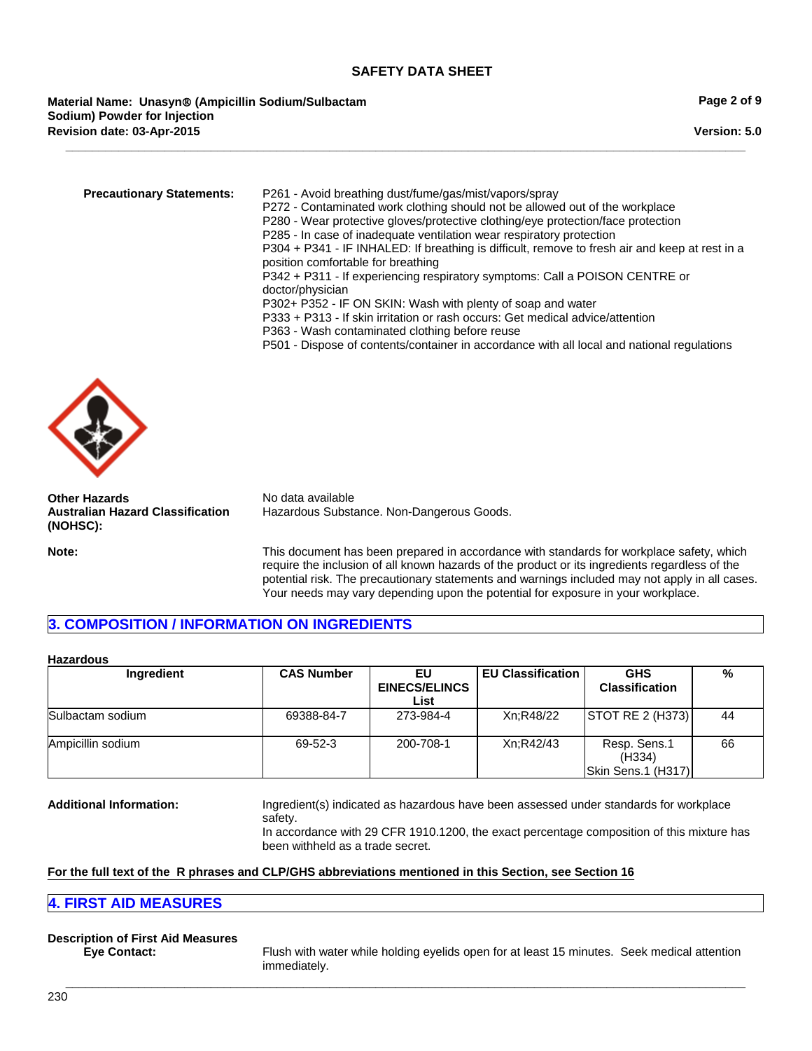**Revision date: 03-Apr-2015 Material Name: Unasyn**® **(Ampicillin Sodium/Sulbactam Sodium) Powder for Injection**

**Version: 5.0**

**Precautionary Statements:** P261 - Avoid breathing dust/fume/gas/mist/vapors/spray P272 - Contaminated work clothing should not be allowed out of the workplace P280 - Wear protective gloves/protective clothing/eye protection/face protection P285 - In case of inadequate ventilation wear respiratory protection P304 + P341 - IF INHALED: If breathing is difficult, remove to fresh air and keep at rest in a position comfortable for breathing P342 + P311 - If experiencing respiratory symptoms: Call a POISON CENTRE or doctor/physician P302+ P352 - IF ON SKIN: Wash with plenty of soap and water P333 + P313 - If skin irritation or rash occurs: Get medical advice/attention P363 - Wash contaminated clothing before reuse P501 - Dispose of contents/container in accordance with all local and national regulations

**\_\_\_\_\_\_\_\_\_\_\_\_\_\_\_\_\_\_\_\_\_\_\_\_\_\_\_\_\_\_\_\_\_\_\_\_\_\_\_\_\_\_\_\_\_\_\_\_\_\_\_\_\_\_\_\_\_\_\_\_\_\_\_\_\_\_\_\_\_\_\_\_\_\_\_\_\_\_\_\_\_\_\_\_\_\_\_\_\_\_\_\_\_\_\_\_\_\_\_\_\_\_\_**



**Other Hazards** No data available **Australian Hazard Classification (NOHSC):**

Hazardous Substance. Non-Dangerous Goods.

**Note:** This document has been prepared in accordance with standards for workplace safety, which require the inclusion of all known hazards of the product or its ingredients regardless of the potential risk. The precautionary statements and warnings included may not apply in all cases. Your needs may vary depending upon the potential for exposure in your workplace.

# **3. COMPOSITION / INFORMATION ON INGREDIENTS**

#### **Hazardous**

| Ingredient        | <b>CAS Number</b> | EU                   | <b>EU Classification</b> | <b>GHS</b>                                   | %  |
|-------------------|-------------------|----------------------|--------------------------|----------------------------------------------|----|
|                   |                   | <b>EINECS/ELINCS</b> |                          | <b>Classification</b>                        |    |
|                   |                   | List                 |                          |                                              |    |
| Sulbactam sodium  | 69388-84-7        | 273-984-4            | Xn:R48/22                | <b>STOT RE 2 (H373)</b>                      | 44 |
| Ampicillin sodium | 69-52-3           | 200-708-1            | Xn:R42/43                | Resp. Sens.1<br>(H334)<br>Skin Sens.1 (H317) | 66 |

**\_\_\_\_\_\_\_\_\_\_\_\_\_\_\_\_\_\_\_\_\_\_\_\_\_\_\_\_\_\_\_\_\_\_\_\_\_\_\_\_\_\_\_\_\_\_\_\_\_\_\_\_\_\_\_\_\_\_\_\_\_\_\_\_\_\_\_\_\_\_\_\_\_\_\_\_\_\_\_\_\_\_\_\_\_\_\_\_\_\_\_\_\_\_\_\_\_\_\_\_\_\_\_**

**Additional Information:** Ingredient(s) indicated as hazardous have been assessed under standards for workplace safety.

> In accordance with 29 CFR 1910.1200, the exact percentage composition of this mixture has been withheld as a trade secret.

### **For the full text of the R phrases and CLP/GHS abbreviations mentioned in this Section, see Section 16**

#### **4. FIRST AID MEASURES**

# **Description of First Aid Measures**

**Eye Contact:** Flush with water while holding eyelids open for at least 15 minutes. Seek medical attention immediately.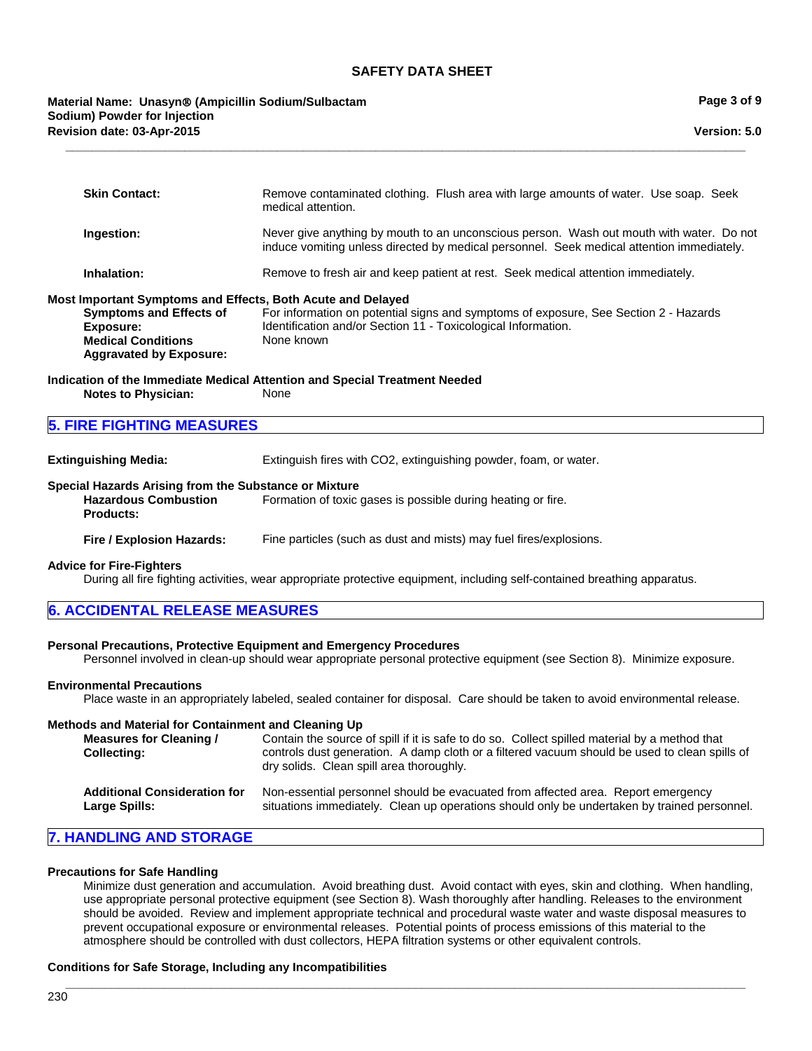**\_\_\_\_\_\_\_\_\_\_\_\_\_\_\_\_\_\_\_\_\_\_\_\_\_\_\_\_\_\_\_\_\_\_\_\_\_\_\_\_\_\_\_\_\_\_\_\_\_\_\_\_\_\_\_\_\_\_\_\_\_\_\_\_\_\_\_\_\_\_\_\_\_\_\_\_\_\_\_\_\_\_\_\_\_\_\_\_\_\_\_\_\_\_\_\_\_\_\_\_\_\_\_**

| Material Name: Unasyn® (Ampicillin Sodium/Sulbactam |
|-----------------------------------------------------|
| Sodium) Powder for Injection                        |
| Revision date: 03-Apr-2015                          |

**Version: 5.0**

|                                                                                                                                                                                                 | <b>Skin Contact:</b>                                                                                                                                                             | Remove contaminated clothing. Flush area with large amounts of water. Use soap. Seek<br>medical attention.                                                                            |
|-------------------------------------------------------------------------------------------------------------------------------------------------------------------------------------------------|----------------------------------------------------------------------------------------------------------------------------------------------------------------------------------|---------------------------------------------------------------------------------------------------------------------------------------------------------------------------------------|
|                                                                                                                                                                                                 | Ingestion:                                                                                                                                                                       | Never give anything by mouth to an unconscious person. Wash out mouth with water. Do not<br>induce vomiting unless directed by medical personnel. Seek medical attention immediately. |
|                                                                                                                                                                                                 | Inhalation:                                                                                                                                                                      | Remove to fresh air and keep patient at rest. Seek medical attention immediately.                                                                                                     |
|                                                                                                                                                                                                 | Most Important Symptoms and Effects, Both Acute and Delayed<br><b>Symptoms and Effects of</b><br><b>Exposure:</b><br><b>Medical Conditions</b><br><b>Aggravated by Exposure:</b> | For information on potential signs and symptoms of exposure, See Section 2 - Hazards<br>Identification and/or Section 11 - Toxicological Information.<br>None known                   |
|                                                                                                                                                                                                 | <b>Notes to Physician:</b>                                                                                                                                                       | Indication of the Immediate Medical Attention and Special Treatment Needed<br>None                                                                                                    |
|                                                                                                                                                                                                 | <b>5. FIRE FIGHTING MEASURES</b>                                                                                                                                                 |                                                                                                                                                                                       |
|                                                                                                                                                                                                 | <b>Extinguishing Media:</b>                                                                                                                                                      | Extinguish fires with CO2, extinguishing powder, foam, or water.                                                                                                                      |
|                                                                                                                                                                                                 | Special Hazards Arising from the Substance or Mixture                                                                                                                            |                                                                                                                                                                                       |
|                                                                                                                                                                                                 | <b>Hazardous Combustion</b><br><b>Products:</b>                                                                                                                                  | Formation of toxic gases is possible during heating or fire.                                                                                                                          |
|                                                                                                                                                                                                 | Fire / Explosion Hazards:                                                                                                                                                        | Fine particles (such as dust and mists) may fuel fires/explosions.                                                                                                                    |
| <b>Advice for Fire-Fighters</b><br>During all fire fighting activities, wear appropriate protective equipment, including self-contained breathing apparatus.                                    |                                                                                                                                                                                  |                                                                                                                                                                                       |
| <b>6. ACCIDENTAL RELEASE MEASURES</b>                                                                                                                                                           |                                                                                                                                                                                  |                                                                                                                                                                                       |
|                                                                                                                                                                                                 |                                                                                                                                                                                  |                                                                                                                                                                                       |
| Personal Precautions, Protective Equipment and Emergency Procedures<br>Personnel involved in clean-up should wear appropriate personal protective equipment (see Section 8). Minimize exposure. |                                                                                                                                                                                  |                                                                                                                                                                                       |

#### **Environmental Precautions**

Place waste in an appropriately labeled, sealed container for disposal. Care should be taken to avoid environmental release.

#### **Methods and Material for Containment and Cleaning Up**

| Measures for Cleaning /<br><b>Collecting:</b> | Contain the source of spill if it is safe to do so. Collect spilled material by a method that<br>controls dust generation. A damp cloth or a filtered vacuum should be used to clean spills of<br>dry solids. Clean spill area thoroughly. |
|-----------------------------------------------|--------------------------------------------------------------------------------------------------------------------------------------------------------------------------------------------------------------------------------------------|
| <b>Additional Consideration for</b>           | Non-essential personnel should be evacuated from affected area. Report emergency                                                                                                                                                           |
| Large Spills:                                 | situations immediately. Clean up operations should only be undertaken by trained personnel.                                                                                                                                                |

# **7. HANDLING AND STORAGE**

#### **Precautions for Safe Handling**

Minimize dust generation and accumulation. Avoid breathing dust. Avoid contact with eyes, skin and clothing. When handling, use appropriate personal protective equipment (see Section 8). Wash thoroughly after handling. Releases to the environment should be avoided. Review and implement appropriate technical and procedural waste water and waste disposal measures to prevent occupational exposure or environmental releases. Potential points of process emissions of this material to the atmosphere should be controlled with dust collectors, HEPA filtration systems or other equivalent controls.

#### **Conditions for Safe Storage, Including any Incompatibilities**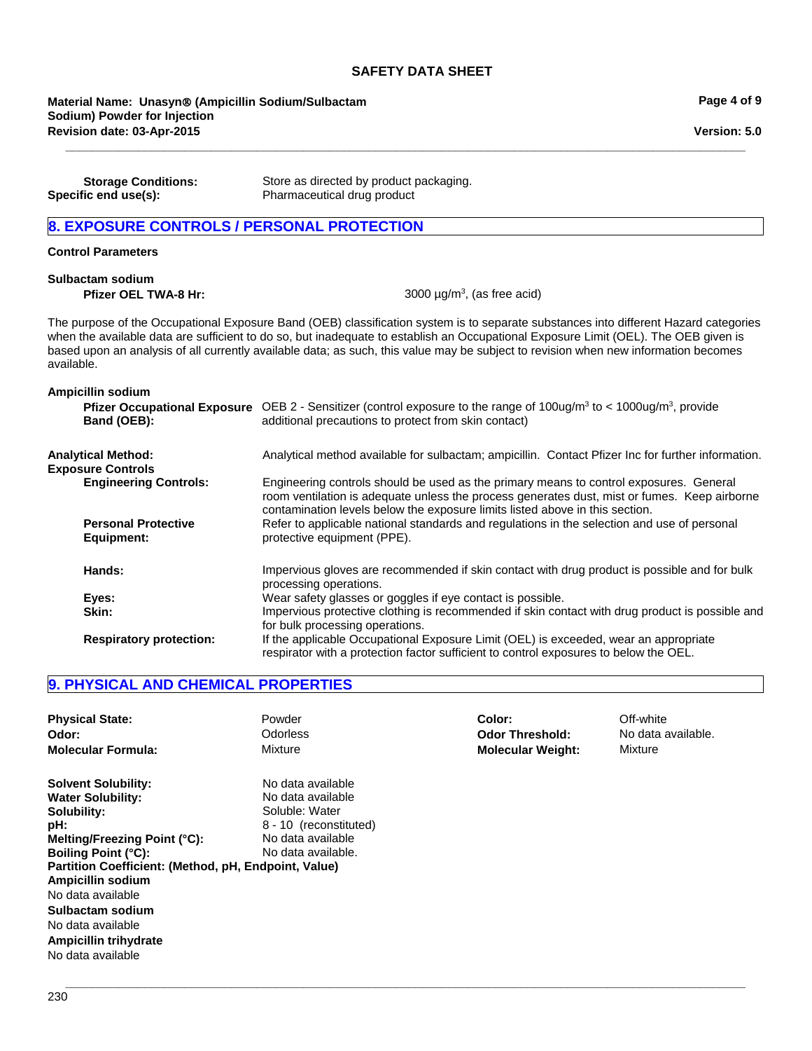**\_\_\_\_\_\_\_\_\_\_\_\_\_\_\_\_\_\_\_\_\_\_\_\_\_\_\_\_\_\_\_\_\_\_\_\_\_\_\_\_\_\_\_\_\_\_\_\_\_\_\_\_\_\_\_\_\_\_\_\_\_\_\_\_\_\_\_\_\_\_\_\_\_\_\_\_\_\_\_\_\_\_\_\_\_\_\_\_\_\_\_\_\_\_\_\_\_\_\_\_\_\_\_**

**Revision date: 03-Apr-2015 Material Name: Unasyn**® **(Ampicillin Sodium/Sulbactam Sodium) Powder for Injection**

| <b>Storage Conditions:</b> |  |
|----------------------------|--|
| Specific end use(s):       |  |

Store as directed by product packaging. Pharmaceutical drug product

# **8. EXPOSURE CONTROLS / PERSONAL PROTECTION**

#### **Control Parameters**

#### **Sulbactam sodium Pfizer OEL TWA-8 Hr:**

3000  $\mu$ g/m<sup>3</sup>, (as free acid)

The purpose of the Occupational Exposure Band (OEB) classification system is to separate substances into different Hazard categories when the available data are sufficient to do so, but inadequate to establish an Occupational Exposure Limit (OEL). The OEB given is based upon an analysis of all currently available data; as such, this value may be subject to revision when new information becomes available.

| <b>Ampicillin sodium</b>                              |                                                                                                                                                                                                                                                                        |
|-------------------------------------------------------|------------------------------------------------------------------------------------------------------------------------------------------------------------------------------------------------------------------------------------------------------------------------|
| Band (OEB):                                           | <b>Pfizer Occupational Exposure</b> OEB 2 - Sensitizer (control exposure to the range of 100ug/m <sup>3</sup> to < 1000ug/m <sup>3</sup> , provide<br>additional precautions to protect from skin contact)                                                             |
| <b>Analytical Method:</b><br><b>Exposure Controls</b> | Analytical method available for sulbactam; ampicillin. Contact Pfizer Inc for further information.                                                                                                                                                                     |
| <b>Engineering Controls:</b>                          | Engineering controls should be used as the primary means to control exposures. General<br>room ventilation is adequate unless the process generates dust, mist or fumes. Keep airborne<br>contamination levels below the exposure limits listed above in this section. |
| <b>Personal Protective</b><br>Equipment:              | Refer to applicable national standards and regulations in the selection and use of personal<br>protective equipment (PPE).                                                                                                                                             |
| Hands:                                                | Impervious gloves are recommended if skin contact with drug product is possible and for bulk<br>processing operations.                                                                                                                                                 |
| Eyes:                                                 | Wear safety glasses or goggles if eye contact is possible.                                                                                                                                                                                                             |
| Skin:                                                 | Impervious protective clothing is recommended if skin contact with drug product is possible and<br>for bulk processing operations.                                                                                                                                     |
| <b>Respiratory protection:</b>                        | If the applicable Occupational Exposure Limit (OEL) is exceeded, wear an appropriate<br>respirator with a protection factor sufficient to control exposures to below the OEL.                                                                                          |

# **9. PHYSICAL AND CHEMICAL PROPERTIES**

| <b>Physical State:</b>                                                                                                                                                                                                                                                                                                                     | Powder                                                                                                                        | Color:                   | Off-white          |
|--------------------------------------------------------------------------------------------------------------------------------------------------------------------------------------------------------------------------------------------------------------------------------------------------------------------------------------------|-------------------------------------------------------------------------------------------------------------------------------|--------------------------|--------------------|
| Odor:                                                                                                                                                                                                                                                                                                                                      | Odorless                                                                                                                      | <b>Odor Threshold:</b>   | No data available. |
| <b>Molecular Formula:</b>                                                                                                                                                                                                                                                                                                                  | Mixture                                                                                                                       | <b>Molecular Weight:</b> | Mixture            |
| <b>Solvent Solubility:</b><br><b>Water Solubility:</b><br>Solubility:<br>pH:<br>Melting/Freezing Point (°C):<br><b>Boiling Point (°C):</b><br>Partition Coefficient: (Method, pH, Endpoint, Value)<br>Ampicillin sodium<br>No data available<br>Sulbactam sodium<br>No data available<br><b>Ampicillin trihydrate</b><br>No data available | No data available<br>No data available<br>Soluble: Water<br>8 - 10 (reconstituted)<br>No data available<br>No data available. |                          |                    |

**\_\_\_\_\_\_\_\_\_\_\_\_\_\_\_\_\_\_\_\_\_\_\_\_\_\_\_\_\_\_\_\_\_\_\_\_\_\_\_\_\_\_\_\_\_\_\_\_\_\_\_\_\_\_\_\_\_\_\_\_\_\_\_\_\_\_\_\_\_\_\_\_\_\_\_\_\_\_\_\_\_\_\_\_\_\_\_\_\_\_\_\_\_\_\_\_\_\_\_\_\_\_\_**

## **Page 4 of 9**

**Version: 5.0**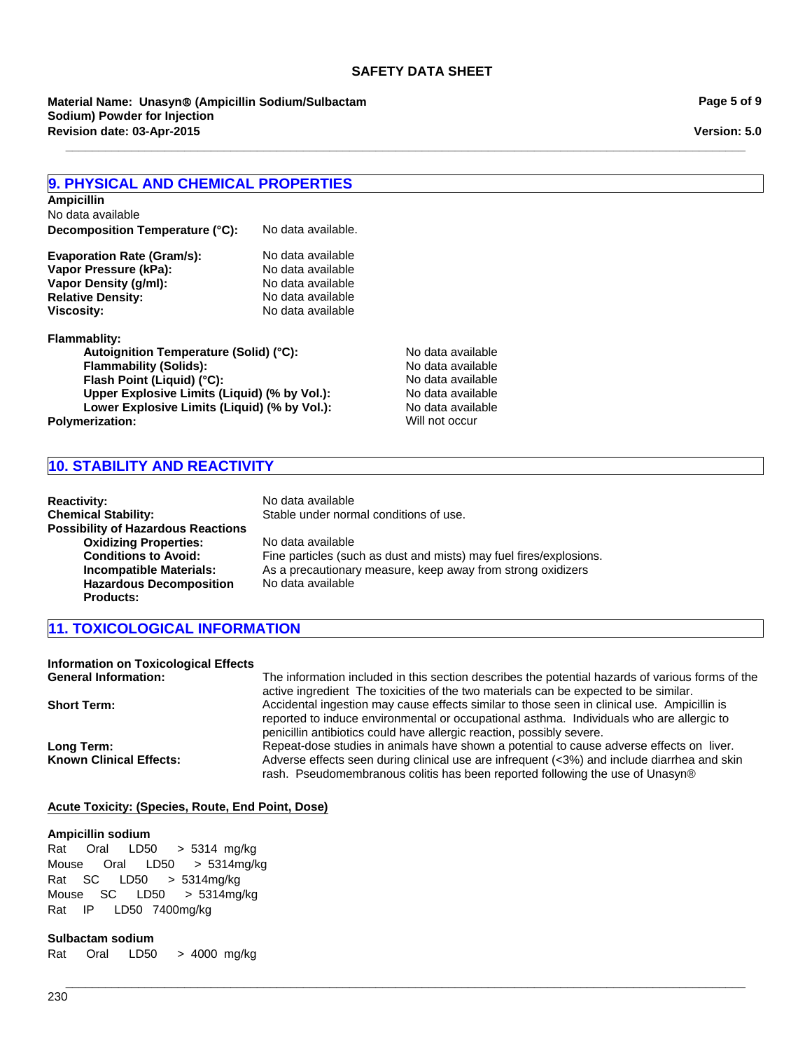**\_\_\_\_\_\_\_\_\_\_\_\_\_\_\_\_\_\_\_\_\_\_\_\_\_\_\_\_\_\_\_\_\_\_\_\_\_\_\_\_\_\_\_\_\_\_\_\_\_\_\_\_\_\_\_\_\_\_\_\_\_\_\_\_\_\_\_\_\_\_\_\_\_\_\_\_\_\_\_\_\_\_\_\_\_\_\_\_\_\_\_\_\_\_\_\_\_\_\_\_\_\_\_**

**Material Name: Unasyn**® **(Ampicillin Sodium/Sulbactam Sodium) Powder for Injection Revision date: 03-Apr-2015**

# **9. PHYSICAL AND CHEMICAL PROPERTIES**

**Decomposition Temperature (°C):** No data available. **Ampicillin** No data available

| No data available |
|-------------------|
| No data available |
| No data available |
| No data available |
| No data available |
|                   |

**Flammablity:**

**Autoignition Temperature (Solid) (°C):** No data available<br> **Flammability (Solids):** No data available **Flammability (Solids):** No data available<br> **Flash Point (Liquid) (°C):** No data available **Flash Point (Liquid) (°C):**<br> **Communisy (Liquid) (% by Vol.):** No data available<br>
No data available **Upper Explosive Limits (Liquid) (% by Vol.):** No data available<br> **Lower Explosive Limits (Liquid) (% by Vol.):** No data available Lower Explosive Limits (Liquid) (% by Vol.): **Polymerization:** Will not occur

# **10. STABILITY AND REACTIVITY**

**Reactivity:** No data available **Chemical Stability:** Stable under normal conditions of use. **Possibility of Hazardous Reactions Oxidizing Properties:** No data available **Conditions to Avoid:** Fine particles (such as dust and mists) may fuel fires/explosions. **Incompatible Materials:** As a precautionary measure, keep away from strong oxidizers **Hazardous Decomposition Products:** No data available

# **11. TOXICOLOGICAL INFORMATION**

**Information on Toxicological Effects** The information included in this section describes the potential hazards of various forms of the active ingredient The toxicities of the two materials can be expected to be similar. **Short Term:** Accidental ingestion may cause effects similar to those seen in clinical use. Ampicillin is reported to induce environmental or occupational asthma. Individuals who are allergic to penicillin antibiotics could have allergic reaction, possibly severe. Long Term: Repeat-dose studies in animals have shown a potential to cause adverse effects on liver. **Known Clinical Effects:** Adverse effects seen during clinical use are infrequent (<3%) and include diarrhea and skin rash. Pseudomembranous colitis has been reported following the use of Unasyn®

**\_\_\_\_\_\_\_\_\_\_\_\_\_\_\_\_\_\_\_\_\_\_\_\_\_\_\_\_\_\_\_\_\_\_\_\_\_\_\_\_\_\_\_\_\_\_\_\_\_\_\_\_\_\_\_\_\_\_\_\_\_\_\_\_\_\_\_\_\_\_\_\_\_\_\_\_\_\_\_\_\_\_\_\_\_\_\_\_\_\_\_\_\_\_\_\_\_\_\_\_\_\_\_**

#### **Acute Toxicity: (Species, Route, End Point, Dose)**

#### **Ampicillin sodium**

RatSC LD50 >5314mg/kg MouseSC LD50 >5314mg/kg RatIP LD50 7400mg/kg Rat Oral LD50 >5314mg/kg Mouse Oral LD50 >5314mg/kg

#### **Sulbactam sodium**

Rat Oral LD50 >4000mg/kg

230

**Page 5 of 9**

**Version: 5.0**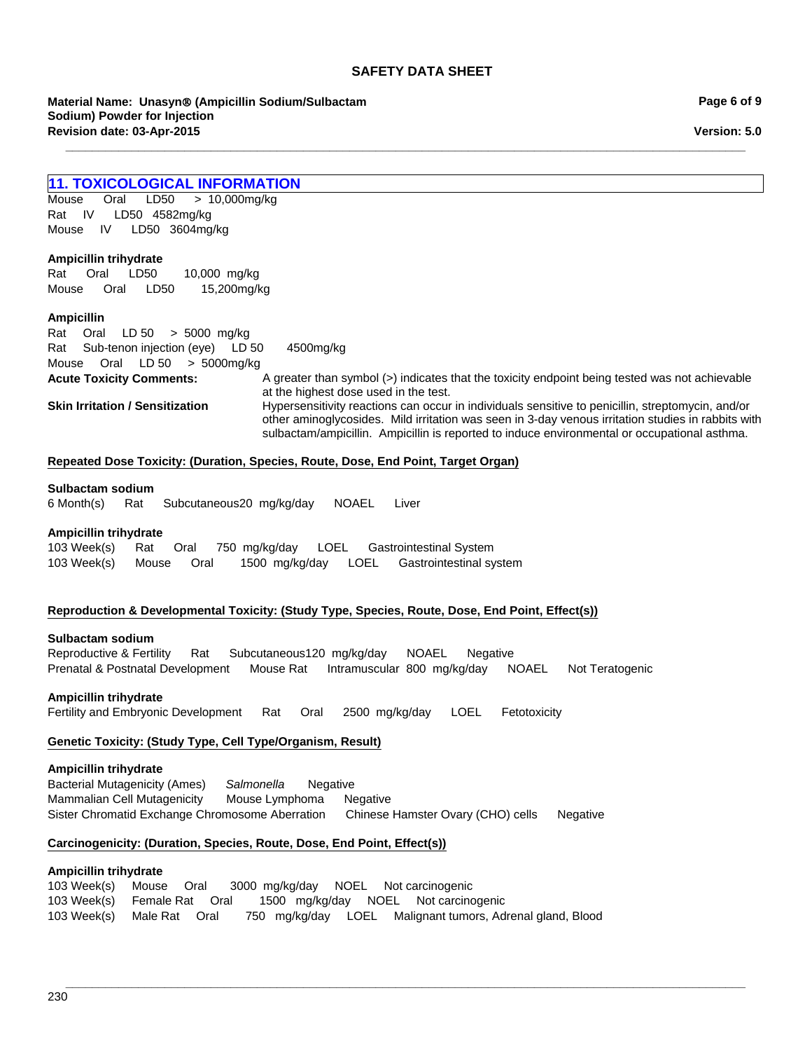**\_\_\_\_\_\_\_\_\_\_\_\_\_\_\_\_\_\_\_\_\_\_\_\_\_\_\_\_\_\_\_\_\_\_\_\_\_\_\_\_\_\_\_\_\_\_\_\_\_\_\_\_\_\_\_\_\_\_\_\_\_\_\_\_\_\_\_\_\_\_\_\_\_\_\_\_\_\_\_\_\_\_\_\_\_\_\_\_\_\_\_\_\_\_\_\_\_\_\_\_\_\_\_**

**Material Name: Unasyn**® **(Ampicillin Sodium/Sulbactam Sodium) Powder for Injection Revision date: 03-Apr-2015**

**Page 6 of 9**

**Version: 5.0**

# **11. TOXICOLOGICAL INFORMATION**

MouseIV LD50 3604mg/kg Mouse Oral LD50 >10,000mg/kg RatIV LD50 4582mg/kg

#### **Ampicillin trihydrate**

Rat Oral LD50 10,000mg/kg Mouse Oral LD50 15,200mg/kg

#### **Ampicillin**

**Acute Toxicity Comments:** A greater than symbol (>) indicates that the toxicity endpoint being tested was not achievable at the highest dose used in the test. **Skin Irritation / Sensitization** Hypersensitivity reactions can occur in individuals sensitive to penicillin, streptomycin, and/or other aminoglycosides. Mild irritation was seen in 3-day venous irritation studies in rabbits with sulbactam/ampicillin. Ampicillin is reported to induce environmental or occupational asthma. MouseOralLD 50>5000mg/kg RatOralLD 50>5000mg/kg RatSub-tenon injection (eye)LD 504500mg/kg

#### **Repeated Dose Toxicity: (Duration, Species, Route, Dose, End Point, Target Organ)**

#### **Sulbactam sodium**

6 Month(s)RatSubcutaneous20mg/kg/dayNOAELLiver

#### **Ampicillin trihydrate**

103 Week(s)RatOral750mg/kg/dayLOELGastrointestinal System 103 Week(s)MouseOral1500mg/kg/dayLOELGastrointestinal system

#### **Reproduction & Developmental Toxicity: (Study Type, Species, Route, Dose, End Point, Effect(s))**

#### **Sulbactam sodium**

Reproductive & FertilityRatSubcutaneous120mg/kg/dayNOAELNegative Prenatal & Postnatal DevelopmentMouse RatIntramuscular800mg/kg/dayNOAELNot Teratogenic

#### **Ampicillin trihydrate**

Fertility and Embryonic DevelopmentRatOral2500mg/kg/dayLOELFetotoxicity

#### **Genetic Toxicity: (Study Type, Cell Type/Organism, Result)**

#### **Ampicillin trihydrate**

Bacterial Mutagenicity (Ames)*Salmonella* Negative Mammalian Cell Mutagenicity Mouse LymphomaNegative Sister Chromatid Exchange Chromosome AberrationChinese Hamster Ovary (CHO) cellsNegative

#### **Carcinogenicity: (Duration, Species, Route, Dose, End Point, Effect(s))**

#### **Ampicillin trihydrate**

103 Week(s)MouseOral3000mg/kg/dayNOELNot carcinogenic 103 Week(s)Female RatOral1500mg/kg/dayNOELNot carcinogenic 103 Week(s)Male RatOral750mg/kg/dayLOELMalignant tumors, Adrenal gland, Blood

**\_\_\_\_\_\_\_\_\_\_\_\_\_\_\_\_\_\_\_\_\_\_\_\_\_\_\_\_\_\_\_\_\_\_\_\_\_\_\_\_\_\_\_\_\_\_\_\_\_\_\_\_\_\_\_\_\_\_\_\_\_\_\_\_\_\_\_\_\_\_\_\_\_\_\_\_\_\_\_\_\_\_\_\_\_\_\_\_\_\_\_\_\_\_\_\_\_\_\_\_\_\_\_**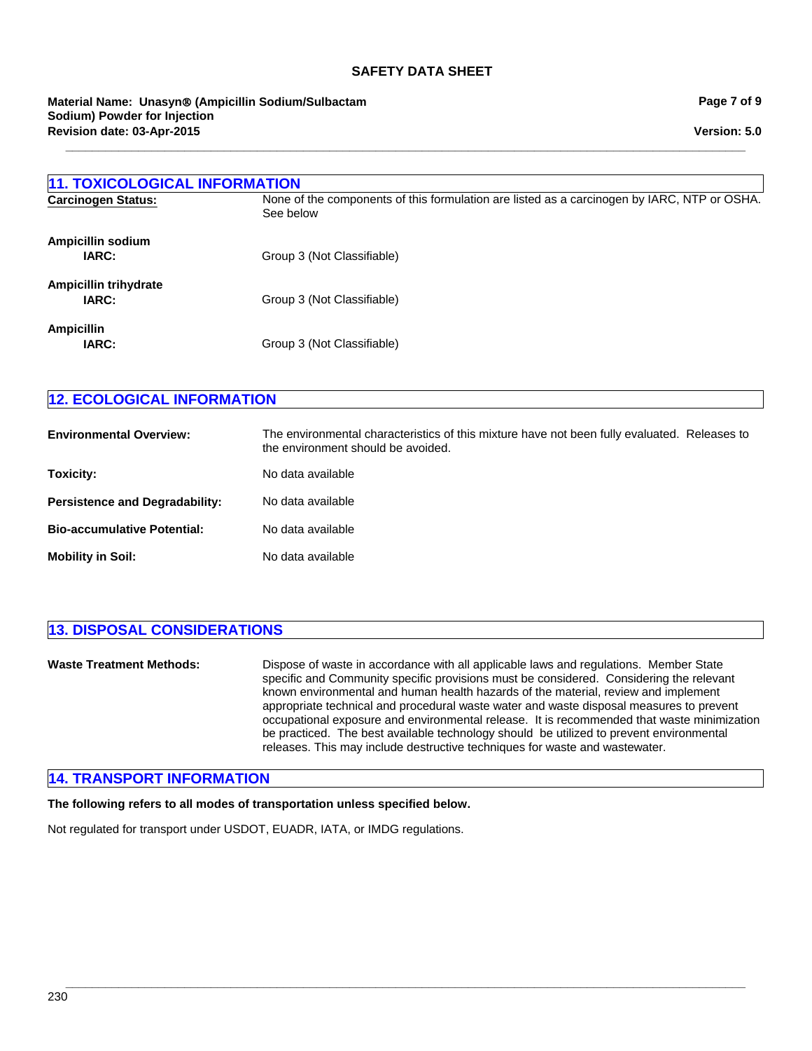**Revision date: 03-Apr-2015 Material Name: Unasyn**® **(Ampicillin Sodium/Sulbactam Sodium) Powder for Injection**

**Page 7 of 9**

**Version: 5.0**

| <b>11. TOXICOLOGICAL INFORMATION</b>  |                                                                                                          |
|---------------------------------------|----------------------------------------------------------------------------------------------------------|
| <b>Carcinogen Status:</b>             | None of the components of this formulation are listed as a carcinogen by IARC, NTP or OSHA.<br>See below |
| Ampicillin sodium<br>IARC:            | Group 3 (Not Classifiable)                                                                               |
| <b>Ampicillin trihydrate</b><br>IARC: | Group 3 (Not Classifiable)                                                                               |
| <b>Ampicillin</b><br>IARC:            | Group 3 (Not Classifiable)                                                                               |

**\_\_\_\_\_\_\_\_\_\_\_\_\_\_\_\_\_\_\_\_\_\_\_\_\_\_\_\_\_\_\_\_\_\_\_\_\_\_\_\_\_\_\_\_\_\_\_\_\_\_\_\_\_\_\_\_\_\_\_\_\_\_\_\_\_\_\_\_\_\_\_\_\_\_\_\_\_\_\_\_\_\_\_\_\_\_\_\_\_\_\_\_\_\_\_\_\_\_\_\_\_\_\_**

# **12. ECOLOGICAL INFORMATION**

| <b>Environmental Overview:</b>        | The environmental characteristics of this mixture have not been fully evaluated. Releases to<br>the environment should be avoided. |
|---------------------------------------|------------------------------------------------------------------------------------------------------------------------------------|
| Toxicity:                             | No data available                                                                                                                  |
| <b>Persistence and Degradability:</b> | No data available                                                                                                                  |
| <b>Bio-accumulative Potential:</b>    | No data available                                                                                                                  |
| <b>Mobility in Soil:</b>              | No data available                                                                                                                  |

# **13. DISPOSAL CONSIDERATIONS**

**Waste Treatment Methods:** Dispose of waste in accordance with all applicable laws and regulations. Member State specific and Community specific provisions must be considered. Considering the relevant known environmental and human health hazards of the material, review and implement appropriate technical and procedural waste water and waste disposal measures to prevent occupational exposure and environmental release. It is recommended that waste minimization be practiced. The best available technology should be utilized to prevent environmental releases. This may include destructive techniques for waste and wastewater.

**\_\_\_\_\_\_\_\_\_\_\_\_\_\_\_\_\_\_\_\_\_\_\_\_\_\_\_\_\_\_\_\_\_\_\_\_\_\_\_\_\_\_\_\_\_\_\_\_\_\_\_\_\_\_\_\_\_\_\_\_\_\_\_\_\_\_\_\_\_\_\_\_\_\_\_\_\_\_\_\_\_\_\_\_\_\_\_\_\_\_\_\_\_\_\_\_\_\_\_\_\_\_\_**

### **14. TRANSPORT INFORMATION**

**The following refers to all modes of transportation unless specified below.**

Not regulated for transport under USDOT, EUADR, IATA, or IMDG regulations.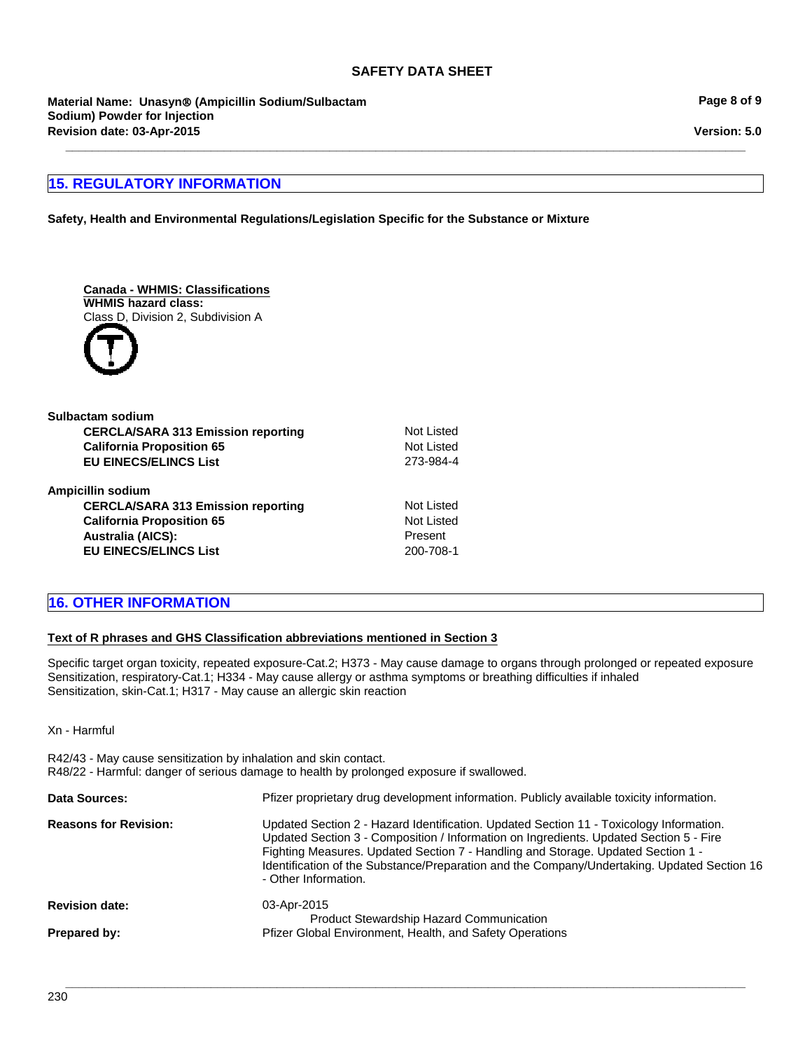**\_\_\_\_\_\_\_\_\_\_\_\_\_\_\_\_\_\_\_\_\_\_\_\_\_\_\_\_\_\_\_\_\_\_\_\_\_\_\_\_\_\_\_\_\_\_\_\_\_\_\_\_\_\_\_\_\_\_\_\_\_\_\_\_\_\_\_\_\_\_\_\_\_\_\_\_\_\_\_\_\_\_\_\_\_\_\_\_\_\_\_\_\_\_\_\_\_\_\_\_\_\_\_**

**Material Name: Unasyn**® **(Ampicillin Sodium/Sulbactam Sodium) Powder for Injection Revision date: 03-Apr-2015**

# **15. REGULATORY INFORMATION**

**Safety, Health and Environmental Regulations/Legislation Specific for the Substance or Mixture**





**California Proposition 65** Not Listed<br> **CULTER CONTRACT CONTRACT CONTRACT 273-984-4 EU EINECS/ELINCS List Sulbactam sodium CERCLA/SARA 313 Emission reporting**

**Ampicillin sodium** CERCLA/SARA 313 Emission reporting Not Listed **California Proposition 65** Not Listed **Australia (AICS):** Present **EU EINECS/ELINCS List** 200-708-1

Not Listed

# **16. OTHER INFORMATION**

#### **Text of R phrases and GHS Classification abbreviations mentioned in Section 3**

Specific target organ toxicity, repeated exposure-Cat.2; H373 - May cause damage to organs through prolonged or repeated exposure Sensitization, respiratory-Cat.1; H334 - May cause allergy or asthma symptoms or breathing difficulties if inhaled Sensitization, skin-Cat.1; H317 - May cause an allergic skin reaction

Xn - Harmful

R42/43 - May cause sensitization by inhalation and skin contact. R48/22 - Harmful: danger of serious damage to health by prolonged exposure if swallowed.

| Data Sources:                | Pfizer proprietary drug development information. Publicly available toxicity information.                                                                                                                                                                                                                                                                                                    |
|------------------------------|----------------------------------------------------------------------------------------------------------------------------------------------------------------------------------------------------------------------------------------------------------------------------------------------------------------------------------------------------------------------------------------------|
| <b>Reasons for Revision:</b> | Updated Section 2 - Hazard Identification. Updated Section 11 - Toxicology Information.<br>Updated Section 3 - Composition / Information on Ingredients. Updated Section 5 - Fire<br>Fighting Measures. Updated Section 7 - Handling and Storage. Updated Section 1 -<br>Identification of the Substance/Preparation and the Company/Undertaking. Updated Section 16<br>- Other Information. |
| <b>Revision date:</b>        | 03-Apr-2015                                                                                                                                                                                                                                                                                                                                                                                  |
| Prepared by:                 | <b>Product Stewardship Hazard Communication</b><br>Pfizer Global Environment, Health, and Safety Operations                                                                                                                                                                                                                                                                                  |

**Version: 5.0**